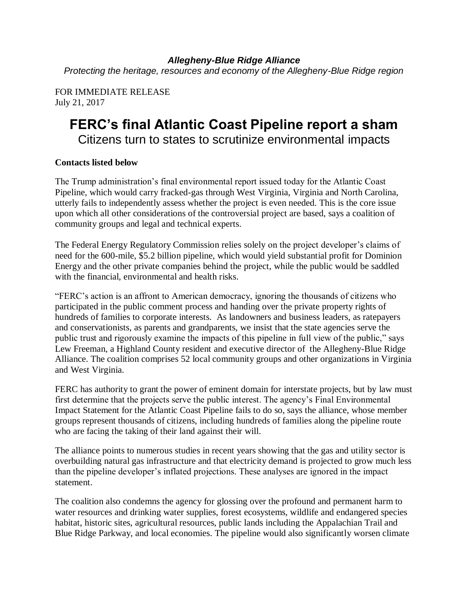*Allegheny-Blue Ridge Alliance Protecting the heritage, resources and economy of the Allegheny-Blue Ridge region*

FOR IMMEDIATE RELEASE July 21, 2017

## **FERC's final Atlantic Coast Pipeline report a sham** Citizens turn to states to scrutinize environmental impacts

## **Contacts listed below**

The Trump administration's final environmental report issued today for the Atlantic Coast Pipeline, which would carry fracked-gas through West Virginia, Virginia and North Carolina, utterly fails to independently assess whether the project is even needed. This is the core issue upon which all other considerations of the controversial project are based, says a coalition of community groups and legal and technical experts.

The Federal Energy Regulatory Commission relies solely on the project developer's claims of need for the 600-mile, \$5.2 billion pipeline, which would yield substantial profit for Dominion Energy and the other private companies behind the project, while the public would be saddled with the financial, environmental and health risks.

"FERC's action is an affront to American democracy, ignoring the thousands of citizens who participated in the public comment process and handing over the private property rights of hundreds of families to corporate interests. As landowners and business leaders, as ratepayers and conservationists, as parents and grandparents, we insist that the state agencies serve the public trust and rigorously examine the impacts of this pipeline in full view of the public," says Lew Freeman, a Highland County resident and executive director of the Allegheny-Blue Ridge Alliance. The coalition comprises 52 local community groups and other organizations in Virginia and West Virginia.

FERC has authority to grant the power of eminent domain for interstate projects, but by law must first determine that the projects serve the public interest. The agency's Final Environmental Impact Statement for the Atlantic Coast Pipeline fails to do so, says the alliance, whose member groups represent thousands of citizens, including hundreds of families along the pipeline route who are facing the taking of their land against their will.

The alliance points to numerous studies in recent years showing that the gas and utility sector is overbuilding natural gas infrastructure and that electricity demand is projected to grow much less than the pipeline developer's inflated projections. These analyses are ignored in the impact statement.

The coalition also condemns the agency for glossing over the profound and permanent harm to water resources and drinking water supplies, forest ecosystems, wildlife and endangered species habitat, historic sites, agricultural resources, public lands including the Appalachian Trail and Blue Ridge Parkway, and local economies. The pipeline would also significantly worsen climate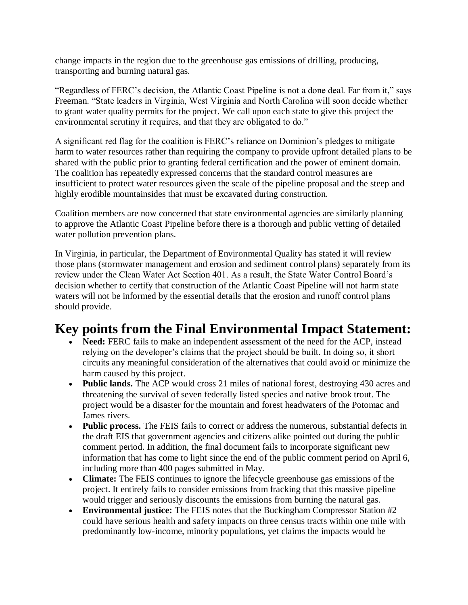change impacts in the region due to the greenhouse gas emissions of drilling, producing, transporting and burning natural gas.

"Regardless of FERC's decision, the Atlantic Coast Pipeline is not a done deal. Far from it," says Freeman. "State leaders in Virginia, West Virginia and North Carolina will soon decide whether to grant water quality permits for the project. We call upon each state to give this project the environmental scrutiny it requires, and that they are obligated to do."

A significant red flag for the coalition is FERC's reliance on Dominion's pledges to mitigate harm to water resources rather than requiring the company to provide upfront detailed plans to be shared with the public prior to granting federal certification and the power of eminent domain. The coalition has repeatedly expressed concerns that the standard control measures are insufficient to protect water resources given the scale of the pipeline proposal and the steep and highly erodible mountainsides that must be excavated during construction.

Coalition members are now concerned that state environmental agencies are similarly planning to approve the Atlantic Coast Pipeline before there is a thorough and public vetting of detailed water pollution prevention plans.

In Virginia, in particular, the Department of Environmental Quality has stated it will review those plans (stormwater management and erosion and sediment control plans) separately from its review under the Clean Water Act Section 401. As a result, the State Water Control Board's decision whether to certify that construction of the Atlantic Coast Pipeline will not harm state waters will not be informed by the essential details that the erosion and runoff control plans should provide.

# **Key points from the Final Environmental Impact Statement:**

- **Need:** FERC fails to make an independent assessment of the need for the ACP, instead relying on the developer's claims that the project should be built. In doing so, it short circuits any meaningful consideration of the alternatives that could avoid or minimize the harm caused by this project.
- **Public lands.** The ACP would cross 21 miles of national forest, destroying 430 acres and threatening the survival of seven federally listed species and native brook trout. The project would be a disaster for the mountain and forest headwaters of the Potomac and James rivers.
- **Public process.** The FEIS fails to correct or address the numerous, substantial defects in the draft EIS that government agencies and citizens alike pointed out during the public comment period. In addition, the final document fails to incorporate significant new information that has come to light since the end of the public comment period on April 6, including more than 400 pages submitted in May.
- **Climate:** The FEIS continues to ignore the lifecycle greenhouse gas emissions of the project. It entirely fails to consider emissions from fracking that this massive pipeline would trigger and seriously discounts the emissions from burning the natural gas.
- **Environmental justice:** The FEIS notes that the Buckingham Compressor Station #2 could have serious health and safety impacts on three census tracts within one mile with predominantly low-income, minority populations, yet claims the impacts would be